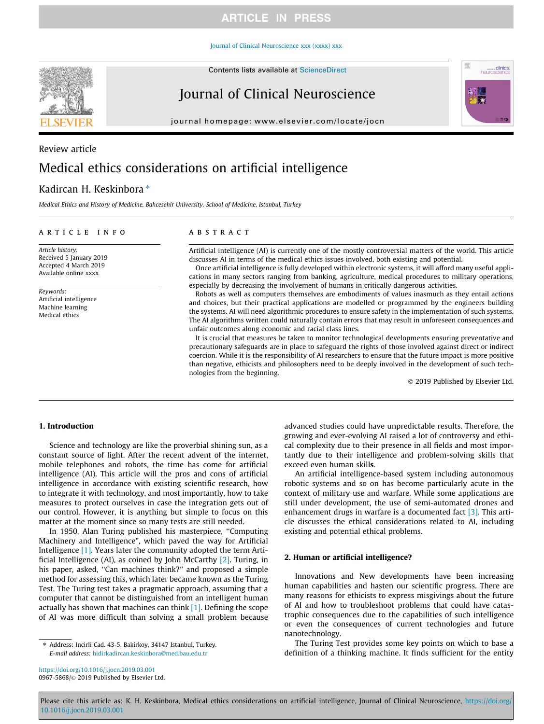# **ARTICLE IN PRESS**

#### [Journal of Clinical Neuroscience xxx \(xxxx\) xxx](https://doi.org/10.1016/j.jocn.2019.03.001)



# Journal of Clinical Neuroscience

journal homepage: [www.elsevier.com/locate/jocn](http://www.elsevier.com/locate/jocn)



# Review article Medical ethics considerations on artificial intelligence

# Kadircan H. Keskinbora  $*$

Medical Ethics and History of Medicine, Bahcesehir University, School of Medicine, Istanbul, Turkey

## article info

Article history: Received 5 January 2019 Accepted 4 March 2019 Available online xxxx

Keywords: Artificial intelligence Machine learning Medical ethics

#### **ABSTRACT**

Artificial intelligence (AI) is currently one of the mostly controversial matters of the world. This article discusses AI in terms of the medical ethics issues involved, both existing and potential.

Once artificial intelligence is fully developed within electronic systems, it will afford many useful applications in many sectors ranging from banking, agriculture, medical procedures to military operations, especially by decreasing the involvement of humans in critically dangerous activities.

Robots as well as computers themselves are embodiments of values inasmuch as they entail actions and choices, but their practical applications are modelled or programmed by the engineers building the systems. AI will need algorithmic procedures to ensure safety in the implementation of such systems. The AI algorithms written could naturally contain errors that may result in unforeseen consequences and unfair outcomes along economic and racial class lines.

It is crucial that measures be taken to monitor technological developments ensuring preventative and precautionary safeguards are in place to safeguard the rights of those involved against direct or indirect coercion. While it is the responsibility of AI researchers to ensure that the future impact is more positive than negative, ethicists and philosophers need to be deeply involved in the development of such technologies from the beginning.

2019 Published by Elsevier Ltd.

### 1. Introduction

Science and technology are like the proverbial shining sun, as a constant source of light. After the recent advent of the internet, mobile telephones and robots, the time has come for artificial intelligence (AI). This article will the pros and cons of artificial intelligence in accordance with existing scientific research, how to integrate it with technology, and most importantly, how to take measures to protect ourselves in case the integration gets out of our control. However, it is anything but simple to focus on this matter at the moment since so many tests are still needed.

In 1950, Alan Turing published his masterpiece, ''Computing Machinery and Intelligence", which paved the way for Artificial Intelligence [\[1\].](#page-4-0) Years later the community adopted the term Artificial Intelligence (AI), as coined by John McCarthy [\[2\].](#page-4-0) Turing, in his paper, asked, "Can machines think?" and proposed a simple method for assessing this, which later became known as the Turing Test. The Turing test takes a pragmatic approach, assuming that a computer that cannot be distinguished from an intelligent human actually has shown that machines can think [\[1\].](#page-4-0) Defining the scope of AI was more difficult than solving a small problem because

<https://doi.org/10.1016/j.jocn.2019.03.001> 0967-5868/ 2019 Published by Elsevier Ltd. advanced studies could have unpredictable results. Therefore, the growing and ever-evolving AI raised a lot of controversy and ethical complexity due to their presence in all fields and most importantly due to their intelligence and problem-solving skills that exceed even human skills.

An artificial intelligence-based system including autonomous robotic systems and so on has become particularly acute in the context of military use and warfare. While some applications are still under development, the use of semi-automated drones and enhancement drugs in warfare is a documented fact [\[3\]](#page-4-0). This article discusses the ethical considerations related to AI, including existing and potential ethical problems.

#### 2. Human or artificial intelligence?

Innovations and New developments have been increasing human capabilities and hasten our scientific progress. There are many reasons for ethicists to express misgivings about the future of AI and how to troubleshoot problems that could have catastrophic consequences due to the capabilities of such intelligence or even the consequences of current technologies and future nanotechnology.

The Turing Test provides some key points on which to base a definition of a thinking machine. It finds sufficient for the entity

<sup>⇑</sup> Address: Incirli Cad. 43-5, Bakirkoy, 34147 Istanbul, Turkey. E-mail address: [hidirkadircan.keskinbora@med.bau.edu.tr](mailto:hidirkadircan.keskinbora@med.bau.edu.tr)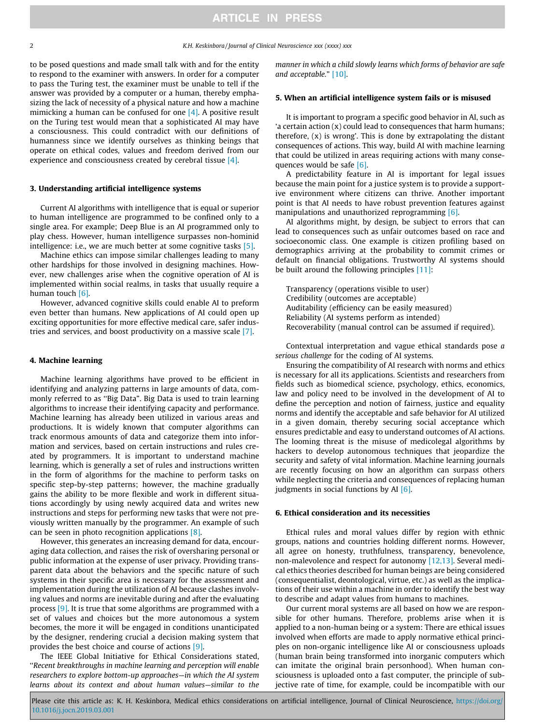# **ARTICLE IN PRESS**

2 K.H. Keskinbora / Journal of Clinical Neuroscience xxx (xxxx) xxx

to be posed questions and made small talk with and for the entity to respond to the examiner with answers. In order for a computer to pass the Turing test, the examiner must be unable to tell if the answer was provided by a computer or a human, thereby emphasizing the lack of necessity of a physical nature and how a machine mimicking a human can be confused for one [\[4\].](#page-4-0) A positive result on the Turing test would mean that a sophisticated AI may have a consciousness. This could contradict with our definitions of humanness since we identify ourselves as thinking beings that operate on ethical codes, values and freedom derived from our experience and consciousness created by cerebral tissue [\[4\].](#page-4-0)

## 3. Understanding artificial intelligence systems

Current AI algorithms with intelligence that is equal or superior to human intelligence are programmed to be confined only to a single area. For example; Deep Blue is an AI programmed only to play chess. However, human intelligence surpasses non-hominid intelligence: i.e., we are much better at some cognitive tasks [\[5\].](#page-4-0)

Machine ethics can impose similar challenges leading to many other hardships for those involved in designing machines. However, new challenges arise when the cognitive operation of AI is implemented within social realms, in tasks that usually require a human touch [\[6\].](#page-4-0)

However, advanced cognitive skills could enable AI to preform even better than humans. New applications of AI could open up exciting opportunities for more effective medical care, safer industries and services, and boost productivity on a massive scale [\[7\]](#page-4-0).

#### 4. Machine learning

Machine learning algorithms have proved to be efficient in identifying and analyzing patterns in large amounts of data, commonly referred to as ''Big Data". Big Data is used to train learning algorithms to increase their identifying capacity and performance. Machine learning has already been utilized in various areas and productions. It is widely known that computer algorithms can track enormous amounts of data and categorize them into information and services, based on certain instructions and rules created by programmers. It is important to understand machine learning, which is generally a set of rules and instructions written in the form of algorithms for the machine to perform tasks on specific step-by-step patterns; however, the machine gradually gains the ability to be more flexible and work in different situations accordingly by using newly acquired data and writes new instructions and steps for performing new tasks that were not previously written manually by the programmer. An example of such can be seen in photo recognition applications [\[8\]](#page-4-0).

However, this generates an increasing demand for data, encouraging data collection, and raises the risk of oversharing personal or public information at the expense of user privacy. Providing transparent data about the behaviors and the specific nature of such systems in their specific area is necessary for the assessment and implementation during the utilization of AI because clashes involving values and norms are inevitable during and after the evaluating process [\[9\].](#page-4-0) It is true that some algorithms are programmed with a set of values and choices but the more autonomous a system becomes, the more it will be engaged in conditions unanticipated by the designer, rendering crucial a decision making system that provides the best choice and course of actions [\[9\]](#page-4-0).

The IEEE Global Initiative for Ethical Considerations stated, ''Recent breakthroughs in machine learning and perception will enable researchers to explore bottom-up approaches—in which the AI system learns about its context and about human values—similar to the

manner in which a child slowly learns which forms of behavior are safe and acceptable." [\[10\]](#page-4-0).

#### 5. When an artificial intelligence system fails or is misused

It is important to program a specific good behavior in AI, such as 'a certain action (x) could lead to consequences that harm humans; therefore, (x) is wrong'. This is done by extrapolating the distant consequences of actions. This way, build AI with machine learning that could be utilized in areas requiring actions with many consequences would be safe  $[6]$ .

A predictability feature in AI is important for legal issues because the main point for a justice system is to provide a supportive environment where citizens can thrive. Another important point is that AI needs to have robust prevention features against manipulations and unauthorized reprogramming [\[6\]](#page-4-0).

AI algorithms might, by design, be subject to errors that can lead to consequences such as unfair outcomes based on race and socioeconomic class. One example is citizen profiling based on demographics arriving at the probability to commit crimes or default on financial obligations. Trustworthy AI systems should be built around the following principles [\[11\]:](#page-4-0)

Transparency (operations visible to user) Credibility (outcomes are acceptable) Auditability (efficiency can be easily measured) Reliability (AI systems perform as intended) Recoverability (manual control can be assumed if required).

Contextual interpretation and vague ethical standards pose a serious challenge for the coding of AI systems.

Ensuring the compatibility of AI research with norms and ethics is necessary for all its applications. Scientists and researchers from fields such as biomedical science, psychology, ethics, economics, law and policy need to be involved in the development of AI to define the perception and notion of fairness, justice and equality norms and identify the acceptable and safe behavior for AI utilized in a given domain, thereby securing social acceptance which ensures predictable and easy to understand outcomes of AI actions. The looming threat is the misuse of medicolegal algorithms by hackers to develop autonomous techniques that jeopardize the security and safety of vital information. Machine learning journals are recently focusing on how an algorithm can surpass others while neglecting the criteria and consequences of replacing human judgments in social functions by AI [\[6\].](#page-4-0)

## 6. Ethical consideration and its necessities

Ethical rules and moral values differ by region with ethnic groups, nations and countries holding different norms. However, all agree on honesty, truthfulness, transparency, benevolence, non-malevolence and respect for autonomy [\[12,13\]](#page-4-0). Several medical ethics theories described for human beings are being considered (consequentialist, deontological, virtue, etc.) as well as the implications of their use within a machine in order to identify the best way to describe and adapt values from humans to machines.

Our current moral systems are all based on how we are responsible for other humans. Therefore, problems arise when it is applied to a non-human being or a system: There are ethical issues involved when efforts are made to apply normative ethical principles on non-organic intelligence like AI or consciousness uploads (human brain being transformed into inorganic computers which can imitate the original brain personhood). When human consciousness is uploaded onto a fast computer, the principle of subjective rate of time, for example, could be incompatible with our

Please cite this article as: K. H. Keskinbora, Medical ethics considerations on artificial intelligence, Journal of Clinical Neuroscience, [https://doi.org/](https://doi.org/10.1016/j.jocn.2019.03.001) [10.1016/j.jocn.2019.03.001](https://doi.org/10.1016/j.jocn.2019.03.001)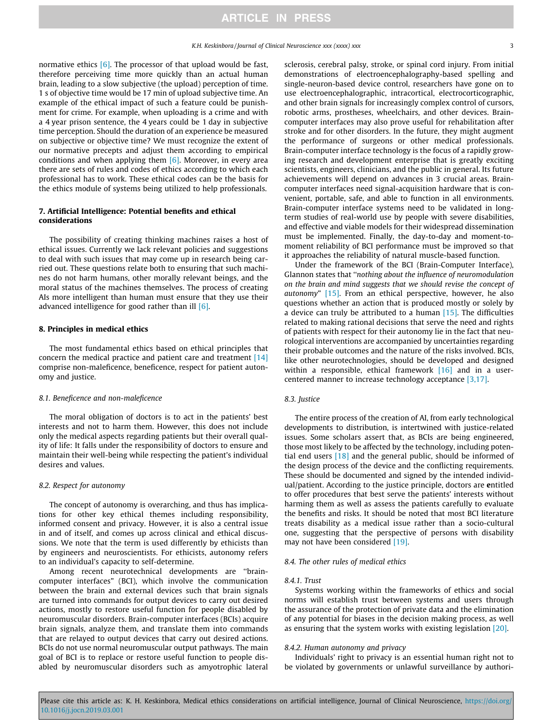normative ethics [\[6\]](#page-4-0). The processor of that upload would be fast, therefore perceiving time more quickly than an actual human brain, leading to a slow subjective (the upload) perception of time. 1 s of objective time would be 17 min of upload subjective time. An example of the ethical impact of such a feature could be punishment for crime. For example, when uploading is a crime and with a 4 year prison sentence, the 4 years could be 1 day in subjective time perception. Should the duration of an experience be measured on subjective or objective time? We must recognize the extent of our normative precepts and adjust them according to empirical conditions and when applying them  $[6]$ . Moreover, in every area there are sets of rules and codes of ethics according to which each professional has to work. These ethical codes can be the basis for the ethics module of systems being utilized to help professionals.

## 7. Artificial Intelligence: Potential benefits and ethical considerations

The possibility of creating thinking machines raises a host of ethical issues. Currently we lack relevant policies and suggestions to deal with such issues that may come up in research being carried out. These questions relate both to ensuring that such machines do not harm humans, other morally relevant beings, and the moral status of the machines themselves. The process of creating AIs more intelligent than human must ensure that they use their advanced intelligence for good rather than ill  $[6]$ .

#### 8. Principles in medical ethics

The most fundamental ethics based on ethical principles that concern the medical practice and patient care and treatment [\[14\]](#page-4-0) comprise non-maleficence, beneficence, respect for patient autonomy and justice.

#### 8.1. Beneficence and non-maleficence

The moral obligation of doctors is to act in the patients' best interests and not to harm them. However, this does not include only the medical aspects regarding patients but their overall quality of life: It falls under the responsibility of doctors to ensure and maintain their well-being while respecting the patient's individual desires and values.

#### 8.2. Respect for autonomy

The concept of autonomy is overarching, and thus has implications for other key ethical themes including responsibility, informed consent and privacy. However, it is also a central issue in and of itself, and comes up across clinical and ethical discussions. We note that the term is used differently by ethicists than by engineers and neuroscientists. For ethicists, autonomy refers to an individual's capacity to self-determine.

Among recent neurotechnical developments are ''braincomputer interfaces" (BCI), which involve the communication between the brain and external devices such that brain signals are turned into commands for output devices to carry out desired actions, mostly to restore useful function for people disabled by neuromuscular disorders. Brain-computer interfaces (BCIs) acquire brain signals, analyze them, and translate them into commands that are relayed to output devices that carry out desired actions. BCIs do not use normal neuromuscular output pathways. The main goal of BCI is to replace or restore useful function to people disabled by neuromuscular disorders such as amyotrophic lateral

sclerosis, cerebral palsy, stroke, or spinal cord injury. From initial demonstrations of electroencephalography-based spelling and single-neuron-based device control, researchers have gone on to use electroencephalographic, intracortical, electrocorticographic, and other brain signals for increasingly complex control of cursors, robotic arms, prostheses, wheelchairs, and other devices. Braincomputer interfaces may also prove useful for rehabilitation after stroke and for other disorders. In the future, they might augment the performance of surgeons or other medical professionals. Brain-computer interface technology is the focus of a rapidly growing research and development enterprise that is greatly exciting scientists, engineers, clinicians, and the public in general. Its future achievements will depend on advances in 3 crucial areas. Braincomputer interfaces need signal-acquisition hardware that is convenient, portable, safe, and able to function in all environments. Brain-computer interface systems need to be validated in longterm studies of real-world use by people with severe disabilities, and effective and viable models for their widespread dissemination must be implemented. Finally, the day-to-day and moment-tomoment reliability of BCI performance must be improved so that it approaches the reliability of natural muscle-based function.

Under the framework of the BCI (Brain-Computer Interface), Glannon states that ''nothing about the influence of neuromodulation on the brain and mind suggests that we should revise the concept of autonomy" [\[15\].](#page-4-0) From an ethical perspective, however, he also questions whether an action that is produced mostly or solely by a device can truly be attributed to a human  $[15]$ . The difficulties related to making rational decisions that serve the need and rights of patients with respect for their autonomy lie in the fact that neurological interventions are accompanied by uncertainties regarding their probable outcomes and the nature of the risks involved. BCIs, like other neurotechnologies, should be developed and designed within a responsible, ethical framework [\[16\]](#page-4-0) and in a usercentered manner to increase technology acceptance [\[3,17\].](#page-4-0)

#### 8.3. Justice

The entire process of the creation of AI, from early technological developments to distribution, is intertwined with justice-related issues. Some scholars assert that, as BCIs are being engineered, those most likely to be affected by the technology, including potential end users [\[18\]](#page-4-0) and the general public, should be informed of the design process of the device and the conflicting requirements. These should be documented and signed by the intended individual/patient. According to the justice principle, doctors are entitled to offer procedures that best serve the patients' interests without harming them as well as assess the patients carefully to evaluate the benefits and risks. It should be noted that most BCI literature treats disability as a medical issue rather than a socio-cultural one, suggesting that the perspective of persons with disability may not have been considered [\[19\]](#page-4-0).

#### 8.4. The other rules of medical ethics

#### 8.4.1. Trust

Systems working within the frameworks of ethics and social norms will establish trust between systems and users through the assurance of the protection of private data and the elimination of any potential for biases in the decision making process, as well as ensuring that the system works with existing legislation [\[20\]](#page-4-0).

#### 8.4.2. Human autonomy and privacy

Individuals' right to privacy is an essential human right not to be violated by governments or unlawful surveillance by authori-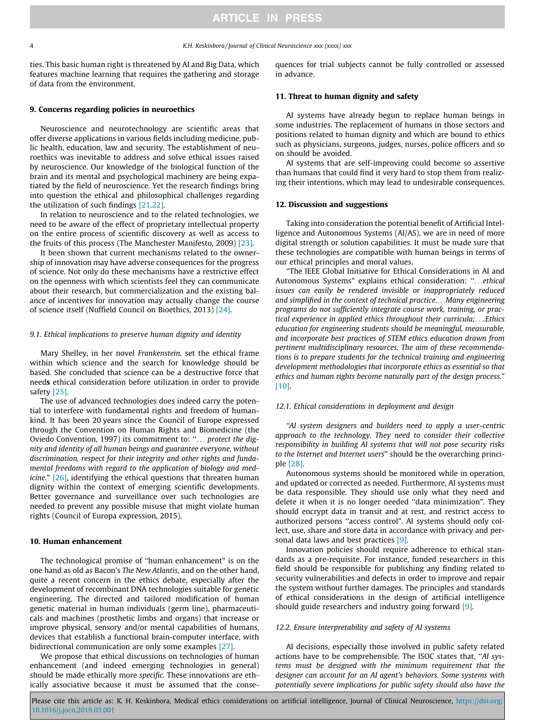ties. This basic human right is threatened by AI and Big Data, which features machine learning that requires the gathering and storage of data from the environment.

#### 9. Concerns regarding policies in neuroethics

Neuroscience and neurotechnology are scientific areas that offer diverse applications in various fields including medicine, public health, education, law and security. The establishment of neuroethics was inevitable to address and solve ethical issues raised by neuroscience. Our knowledge of the biological function of the brain and its mental and psychological machinery are being expatiated by the field of neuroscience. Yet the research findings bring into question the ethical and philosophical challenges regarding the utilization of such findings [\[21,22\]](#page-4-0).

In relation to neuroscience and to the related technologies, we need to be aware of the effect of proprietary intellectual property on the entire process of scientific discovery as well as access to the fruits of this process (The Manchester Manifesto, 2009) [\[23\].](#page-4-0)

It been shown that current mechanisms related to the ownership of innovation may have adverse consequences for the progress of science. Not only do these mechanisms have a restrictive effect on the openness with which scientists feel they can communicate about their research, but commercialization and the existing balance of incentives for innovation may actually change the course of science itself (Nuffield Council on Bioethics, 2013) [\[24\]](#page-4-0).

#### 9.1. Ethical implications to preserve human dignity and identity

Mary Shelley, in her novel Frankenstein, set the ethical frame within which science and the search for knowledge should be based. She concluded that science can be a destructive force that needs ethical consideration before utilization in order to provide safety [\[25\]](#page-4-0).

The use of advanced technologies does indeed carry the potential to interfere with fundamental rights and freedom of humankind. It has been 20 years since the Council of Europe expressed through the Convention on Human Rights and Biomedicine (the Oviedo Convention, 1997) its commitment to: "... protect the dignity and identity of all human beings and guarantee everyone, without discrimination, respect for their integrity and other rights and fundamental freedoms with regard to the application of biology and med-icine." [\[26\]](#page-4-0), identifying the ethical questions that threaten human dignity within the context of emerging scientific developments. Better governance and surveillance over such technologies are needed to prevent any possible misuse that might violate human rights (Council of Europa expression, 2015).

#### 10. Human enhancement

The technological promise of ''human enhancement" is on the one hand as old as Bacon's The New Atlantis, and on the other hand, quite a recent concern in the ethics debate, especially after the development of recombinant DNA technologies suitable for genetic engineering. The directed and tailored modification of human genetic material in human individuals (germ line), pharmaceuticals and machines (prosthetic limbs and organs) that increase or improve physical, sensory and/or mental capabilities of humans, devices that establish a functional brain-computer interface, with bidirectional communication are only some examples [\[27\]](#page-4-0).

We propose that ethical discussions on technologies of human enhancement (and indeed emerging technologies in general) should be made ethically more specific. These innovations are ethically associative because it must be assumed that the consequences for trial subjects cannot be fully controlled or assessed in advance.

## 11. Threat to human dignity and safety

AI systems have already begun to replace human beings in some industries. The replacement of humans in those sectors and positions related to human dignity and which are bound to ethics such as physicians, surgeons, judges, nurses, police officers and so on should be avoided.

AI systems that are self-improving could become so assertive than humans that could find it very hard to stop them from realizing their intentions, which may lead to undesirable consequences.

#### 12. Discussion and suggestions

Taking into consideration the potential benefit of Artificial Intelligence and Autonomous Systems (AI/AS), we are in need of more digital strength or solution capabilities. It must be made sure that these technologies are compatible with human beings in terms of our ethical principles and moral values.

''The IEEE Global Initiative for Ethical Considerations in AI and Autonomous Systems" explains ethical consideration: ''...ethical issues can easily be rendered invisible or inappropriately reduced and simplified in the context of technical practice....Many engineering programs do not sufficiently integrate course work, training, or practical experience in applied ethics throughout their curricula;....Ethics education for engineering students should be meaningful, measurable, and incorporate best practices of STEM ethics education drawn from pertinent multidisciplinary resources. The aim of these recommendations is to prepare students for the technical training and engineering development methodologies that incorporate ethics as essential so that ethics and human rights become naturally part of the design process." [\[10\]](#page-4-0).

#### 12.1. Ethical considerations in deployment and design

''AI system designers and builders need to apply a user-centric approach to the technology. They need to consider their collective responsibility in building AI systems that will not pose security risks to the Internet and Internet users" should be the overarching principle [\[28\]](#page-4-0).

Autonomous systems should be monitored while in operation, and updated or corrected as needed. Furthermore, AI systems must be data responsible. They should use only what they need and delete it when it is no longer needed ''data minimization". They should encrypt data in transit and at rest, and restrict access to authorized persons ''access control". AI systems should only collect, use, share and store data in accordance with privacy and personal data laws and best practices [\[9\]](#page-4-0).

Innovation policies should require adherence to ethical standards as a pre-requisite. For instance, funded researchers in this field should be responsible for publishing any finding related to security vulnerabilities and defects in order to improve and repair the system without further damages. The principles and standards of ethical considerations in the design of artificial intelligence should guide researchers and industry going forward [\[9\]](#page-4-0).

## 12.2. Ensure interpretability and safety of AI systems

AI decisions, especially those involved in public safety related actions have to be comprehensible. The ISOC states that, ''AI systems must be designed with the minimum requirement that the designer can account for an AI agent's behaviors. Some systems with potentially severe implications for public safety should also have the

Please cite this article as: K. H. Keskinbora, Medical ethics considerations on artificial intelligence, Journal of Clinical Neuroscience, [https://doi.org/](https://doi.org/10.1016/j.jocn.2019.03.001) [10.1016/j.jocn.2019.03.001](https://doi.org/10.1016/j.jocn.2019.03.001)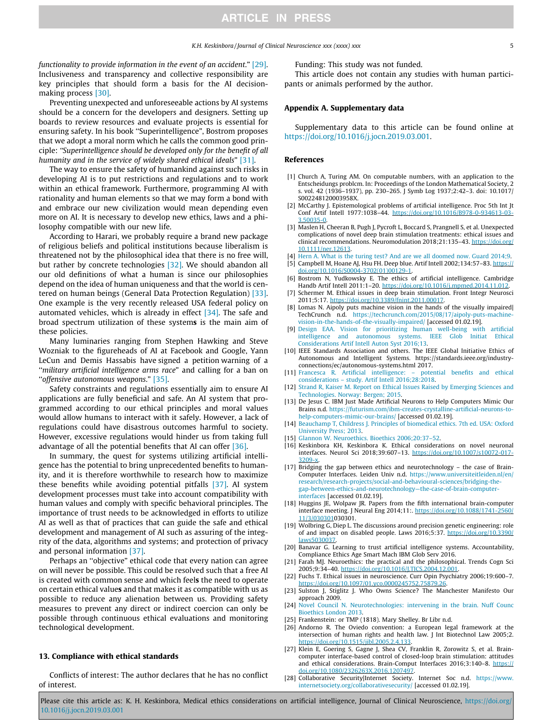<span id="page-4-0"></span>functionality to provide information in the event of an accident." [\[29\].](#page-5-0) Inclusiveness and transparency and collective responsibility are key principles that should form a basis for the AI decisionmaking process [\[30\].](#page-5-0)

Preventing unexpected and unforeseeable actions by AI systems should be a concern for the developers and designers. Setting up boards to review resources and evaluate projects is essential for ensuring safety. In his book ''Superintelligence", Bostrom proposes that we adopt a moral norm which he calls the common good principle: ''Superintelligence should be developed only for the benefit of all humanity and in the service of widely shared ethical ideals" [\[31\]](#page-5-0).

The way to ensure the safety of humankind against such risks in developing AI is to put restrictions and regulations and to work within an ethical framework. Furthermore, programming AI with rationality and human elements so that we may form a bond with and embrace our new civilization would mean depending even more on AI. It is necessary to develop new ethics, laws and a philosophy compatible with our new life.

According to Harari, we probably require a brand new package of religious beliefs and political institutions because liberalism is threatened not by the philosophical idea that there is no free will, but rather by concrete technologies [\[32\].](#page-5-0) We should abandon all our old definitions of what a human is since our philosophies depend on the idea of human uniqueness and that the world is centered on human beings (General Data Protection Regulation) [\[33\].](#page-5-0) One example is the very recently released USA federal policy on automated vehicles, which is already in effect [\[34\]](#page-5-0). The safe and broad spectrum utilization of these systems is the main aim of these policies.

Many luminaries ranging from Stephen Hawking and Steve Wozniak to the figureheads of AI at Facebook and Google, Yann LeCun and Demis Hassabis have signed a petition warning of a "military artificial intelligence arms race" and calling for a ban on ''offensive autonomous weapons." [\[35\]](#page-5-0).

Safety constraints and regulations essentially aim to ensure AI applications are fully beneficial and safe. An AI system that programmed according to our ethical principles and moral values would allow humans to interact with it safely. However, a lack of regulations could have disastrous outcomes harmful to society. However, excessive regulations would hinder us from taking full advantage of all the potential benefits that AI can offer [\[36\].](#page-5-0)

In summary, the quest for systems utilizing artificial intelligence has the potential to bring unprecedented benefits to humanity, and it is therefore worthwhile to research how to maximize these benefits while avoiding potential pitfalls [\[37\]](#page-5-0). AI system development processes must take into account compatibility with human values and comply with specific behavioral principles. The importance of trust needs to be acknowledged in efforts to utilize AI as well as that of practices that can guide the safe and ethical development and management of AI such as assuring of the integrity of the data, algorithms and systems; and protection of privacy and personal information [\[37\]](#page-5-0).

Perhaps an ''objective" ethical code that every nation can agree on will never be possible. This could be resolved such that a free AI is created with common sense and which feels the need to operate on certain ethical values and that makes it as compatible with us as possible to reduce any alienation between us. Providing safety measures to prevent any direct or indirect coercion can only be possible through continuous ethical evaluations and monitoring technological development.

#### 13. Compliance with ethical standards

Conflicts of interest: The author declares that he has no conflict of interest.

Funding: This study was not funded.

This article does not contain any studies with human participants or animals performed by the author.

#### Appendix A. Supplementary data

Supplementary data to this article can be found online at [https://doi.org/10.1016/j.jocn.2019.03.001.](https://doi.org/10.1016/j.jocn.2019.03.001)

#### References

- [1] Church A, Turing AM. On computable numbers, with an application to the Entscheidungs problcm. In: Proceedings of the London Mathematical Society, 2 s. vol. 42 (1936–1937), pp. 230–265. J Symb Log 1937;2:42–3. doi: 10.1017/ S002248120003958X.
- [2] McCarthy J. Epistemological problems of artificial intelligence. Proc 5th Int Jt Conf Artif Intell 1977:1038–44. [https://doi.org/10.1016/B978-0-934613-03-](https://doi.org/10.1016/B978-0-934613-03-3.50035-0) [3.50035-0](https://doi.org/10.1016/B978-0-934613-03-3.50035-0).
- [3] Maslen H, Cheeran B, Pugh J, Pycroft L, Boccard S, Prangnell S, et al. Unexpected complications of novel deep brain stimulation treatments: ethical issues and clinical recommendations. Neuromodulation 2018;21:135–43. [https://doi.org/](https://doi.org/10.1111/ner.12613) [10.1111/ner.12613.](https://doi.org/10.1111/ner.12613)
- [4] [Hern A. What is the turing test? And are we all doomed now. Guard 2014;9.](http://refhub.elsevier.com/S0967-5868(19)30025-6/h0020)
- [5] Campbell M, Hoane AJ, Hsu FH. Deep blue. Artif Intell 2002;134:57–83. [https://](https://doi.org/10.1016/S0004-3702(01)00129-1) [doi.org/10.1016/S0004-3702\(01\)00129-1.](https://doi.org/10.1016/S0004-3702(01)00129-1)
- [6] Bostrom N, Yudkowsky E. The ethics of artificial intelligence. Cambridge Handb Artif Intell 2011:1–20. <https://doi.org/10.1016/j.mpmed.2014.11.012>.
- [7] Schermer M. Ethical issues in deep brain stimulation. Front Integr Neurosci 2011;5:17. [https://doi.org/10.3389/fnint.2011.00017.](https://doi.org/10.3389/fnint.2011.00017)
- [8] Lomas N. Aipoly puts machine vision in the hands of the visually impaired| TechCrunch n.d. [https://techcrunch.com/2015/08/17/aipoly-puts-machine](https://techcrunch.com/2015/08/17/aipoly-puts-machine-vision-in-the-hands-of-the-visually-impaired/)[vision-in-the-hands-of-the-visually-impaired/](https://techcrunch.com/2015/08/17/aipoly-puts-machine-vision-in-the-hands-of-the-visually-impaired/) [accessed 01.02.19].
- [9] [Design EAA. Vision for prioritizing human well-being with artificial](http://refhub.elsevier.com/S0967-5868(19)30025-6/h0045) [intelligence and autonomous systems. IEEE Glob Initiat Ethical](http://refhub.elsevier.com/S0967-5868(19)30025-6/h0045) [Considerations Artif Intell Auton Syst 2016;13](http://refhub.elsevier.com/S0967-5868(19)30025-6/h0045).
- [10] IEEE Standards Association and others. The IEEE Global Initiative Ethics of Autonomous and Intelligent Systems. https://standards.ieee.org/industry-
- connections/ec/autonomous-systems.html 2017.<br>Francesca R. Artificial intelligence: potential benefits and ethical [11] Francesca R. Artificial intelligence: [considerations – study. Artif Intell 2016;28:2018](http://refhub.elsevier.com/S0967-5868(19)30025-6/h0055).
- [12] [Strand R, Kaiser M. Report on Ethical Issues Raised by Emerging Sciences and](http://refhub.elsevier.com/S0967-5868(19)30025-6/h0060) [Technologies. Norway: Bergen; 2015.](http://refhub.elsevier.com/S0967-5868(19)30025-6/h0060)
- [13] De Jesus C. IBM Just Made Artificial Neurons to Help Computers Mimic Our Brains n.d. [https://futurism.com/ibm-creates-crystalline-artificial-neurons-to](https://futurism.com/ibm-creates-crystalline-artificial-neurons-to-help-computers-mimic-our-brains/)[help-computers-mimic-our-brains/](https://futurism.com/ibm-creates-crystalline-artificial-neurons-to-help-computers-mimic-our-brains/) [accessed 01.02.19].
- [14] [Beauchamp T, Childress J. Principles of biomedical ethics. 7th ed. USA: Oxford](http://refhub.elsevier.com/S0967-5868(19)30025-6/h0070) [University Press; 2013.](http://refhub.elsevier.com/S0967-5868(19)30025-6/h0070)
- [15] [Glannon W. Neuroethics. Bioethics 2006;20:37–52](http://refhub.elsevier.com/S0967-5868(19)30025-6/h0075).
- [16] Keskinbora KH, Keskinbora K. Ethical considerations on novel neuronal interfaces. Neurol Sci 2018;39:607-13. https://doi.org/10.1007/s10072-017 [3209-x.](https://doi.org/10.1007/s10072-017-3209-x)
- [17] Bridging the gap between ethics and neurotechnology the case of Brain-Computer Interfaces. Leiden Univ n.d. [https://www.universiteitleiden.nl/en/](https://www.universiteitleiden.nl/en/research/research-projects/social-and-behavioural-sciences/bridging-the-gap-between-ethics-and-neurotechnology---the-case-of-brain-computer-interfaces) [research/research-projects/social-and-behavioural-sciences/bridging-the](https://www.universiteitleiden.nl/en/research/research-projects/social-and-behavioural-sciences/bridging-the-gap-between-ethics-and-neurotechnology---the-case-of-brain-computer-interfaces)[gap-between-ethics-and-neurotechnology—the-case-of-brain-computer](https://www.universiteitleiden.nl/en/research/research-projects/social-and-behavioural-sciences/bridging-the-gap-between-ethics-and-neurotechnology---the-case-of-brain-computer-interfaces)[interfaces](https://www.universiteitleiden.nl/en/research/research-projects/social-and-behavioural-sciences/bridging-the-gap-between-ethics-and-neurotechnology---the-case-of-brain-computer-interfaces) [accessed 01.02.19].
- [18] Huggins JE, Wolpaw JR. Papers from the fifth international brain-computer interface meeting. J Neural Eng 2014;11:. https://doi.org/10.1088/1741-1/3/030301030301.
- [19] Wolbring G, Diep L. The discussions around precision genetic engineering: role of and impact on disabled people. Laws 2016;5:37. [https://doi.org/10.3390/](https://doi.org/10.3390/laws5030037) [laws5030037.](https://doi.org/10.3390/laws5030037)
- [20] Banavar G. Learning to trust artificial intelligence systems. Accountability, Compliance Ethics Age Smart Mach IBM Glob Serv 2016.
- [21] Farah MJ. Neuroethics: the practical and the philosophical. Trends Cogn Sci 2005;9:34–40. [https://doi.org/10.1016/J.TICS.2004.12.001.](https://doi.org/10.1016/J.TICS.2004.12.001)
- [22] Fuchs T. Ethical issues in neuroscience. Curr Opin Psychiatry 2006;19:600–7. https://doi.org/10.1097/01.yco.0000245752
- [23] Sulston J, Stiglitz J. Who Owns Science? The Manchester Manifesto Our approach 2009.
- [24] [Novel Council N. Neurotechnologies: intervening in the brain. Nuff Counc](http://refhub.elsevier.com/S0967-5868(19)30025-6/h0120) [Bioethics London 2013](http://refhub.elsevier.com/S0967-5868(19)30025-6/h0120).
- [25] Frankenstein: or TMP (1818). Mary Shelley. Br Libr n.d.
- [26] Andorno R. The Oviedo convention: a European legal framework at the intersection of human rights and health law. J Int Biotechnol Law 2005;2. <https://doi.org/10.1515/jibl.2005.2.4.133>.
- [27] Klein E, Goering S, Gagne J, Shea CV, Franklin R, Zorowitz S, et al. Braincomputer interface-based control of closed-loop brain stimulation: attitudes and ethical considerations. Brain-Comput Interfaces 2016;3:140–8. [https://](https://doi.org/10.1080/2326263X.2016.1207497) [doi.org/10.1080/2326263X.2016.1207497](https://doi.org/10.1080/2326263X.2016.1207497).
- [28] Collaborative Security|Internet Society. Internet Soc n.d. [https://www.](https://www.internetsociety.org/collaborativesecurity/) [internetsociety.org/collaborativesecurity/](https://www.internetsociety.org/collaborativesecurity/) [accessed 01.02.19].

Please cite this article as: K. H. Keskinbora, Medical ethics considerations on artificial intelligence, Journal of Clinical Neuroscience, [https://doi.org/](https://doi.org/10.1016/j.jocn.2019.03.001) [10.1016/j.jocn.2019.03.001](https://doi.org/10.1016/j.jocn.2019.03.001)